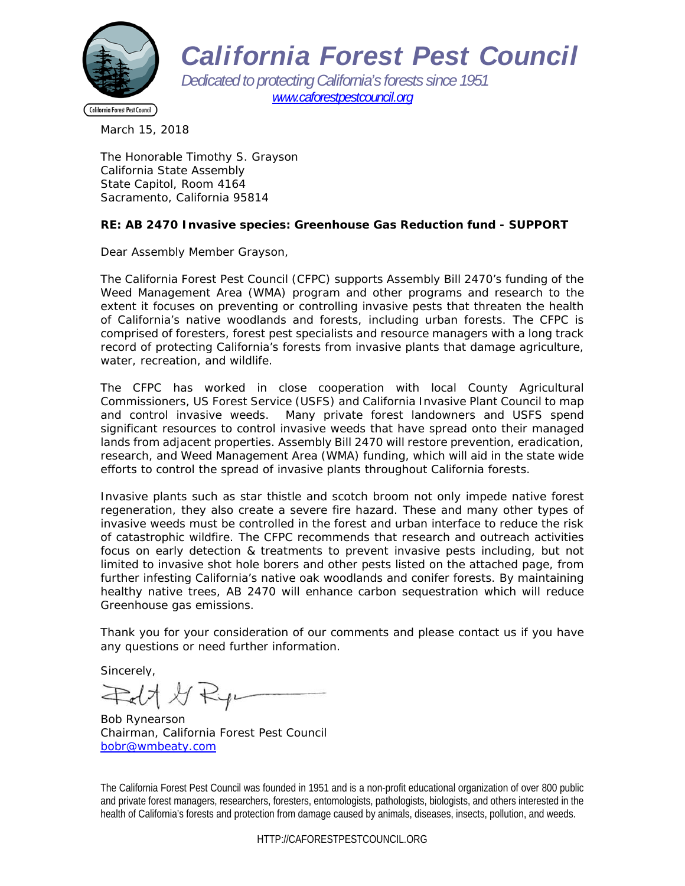

*California Forest Pest Council* 

*Dedicated to protecting California's forests since 1951 www.caforestpestcouncil.org* 

March 15, 2018

The Honorable Timothy S. Grayson California State Assembly State Capitol, Room 4164 Sacramento, California 95814

#### **RE: AB 2470 Invasive species: Greenhouse Gas Reduction fund - SUPPORT**

Dear Assembly Member Grayson,

The California Forest Pest Council (CFPC) supports Assembly Bill 2470's funding of the Weed Management Area (WMA) program and other programs and research to the extent it focuses on preventing or controlling invasive pests that threaten the health of California's native woodlands and forests, including urban forests. The CFPC is comprised of foresters, forest pest specialists and resource managers with a long track record of protecting California's forests from invasive plants that damage agriculture, water, recreation, and wildlife.

The CFPC has worked in close cooperation with local County Agricultural Commissioners, US Forest Service (USFS) and California Invasive Plant Council to map and control invasive weeds. Many private forest landowners and USFS spend significant resources to control invasive weeds that have spread onto their managed lands from adjacent properties. Assembly Bill 2470 will restore prevention, eradication, research, and Weed Management Area (WMA) funding, which will aid in the state wide efforts to control the spread of invasive plants throughout California forests.

Invasive plants such as star thistle and scotch broom not only impede native forest regeneration, they also create a severe fire hazard. These and many other types of invasive weeds must be controlled in the forest and urban interface to reduce the risk of catastrophic wildfire. The CFPC recommends that research and outreach activities focus on early detection & treatments to prevent invasive pests including, but not limited to invasive shot hole borers and other pests listed on the attached page, from further infesting California's native oak woodlands and conifer forests. By maintaining healthy native trees, AB 2470 will enhance carbon sequestration which will reduce Greenhouse gas emissions.

Thank you for your consideration of our comments and please contact us if you have any questions or need further information.

Sincerely,

Felt & Ry

Bob Rynearson Chairman, California Forest Pest Council bobr@wmbeaty.com

The California Forest Pest Council was founded in 1951 and is a non-profit educational organization of over 800 public and private forest managers, researchers, foresters, entomologists, pathologists, biologists, and others interested in the health of California's forests and protection from damage caused by animals, diseases, insects, pollution, and weeds.